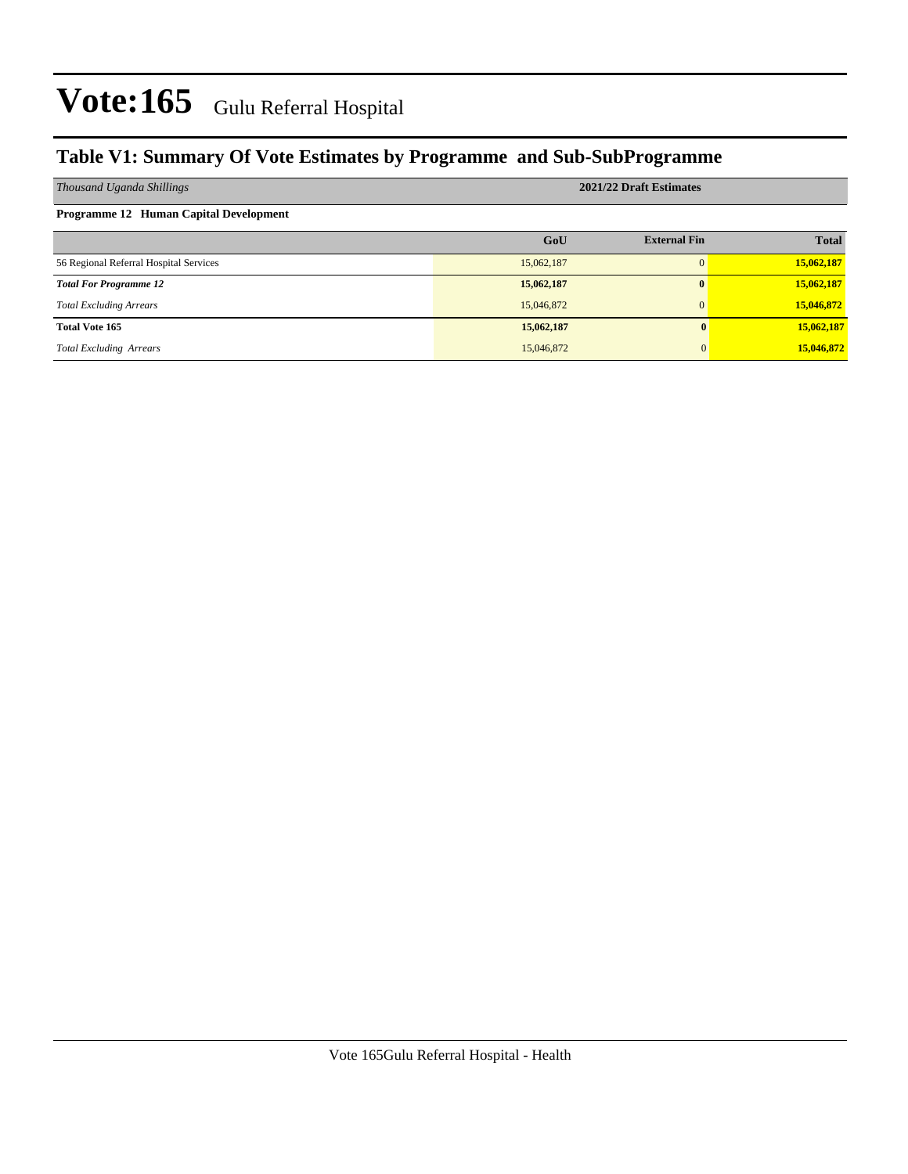### **Table V1: Summary Of Vote Estimates by Programme and Sub-SubProgramme**

| Thousand Uganda Shillings                     | 2021/22 Draft Estimates |                     |              |  |  |  |  |
|-----------------------------------------------|-------------------------|---------------------|--------------|--|--|--|--|
| <b>Programme 12 Human Capital Development</b> |                         |                     |              |  |  |  |  |
|                                               | GoU                     | <b>External Fin</b> | <b>Total</b> |  |  |  |  |
| 56 Regional Referral Hospital Services        | 15,062,187              |                     | 15,062,187   |  |  |  |  |
| <b>Total For Programme 12</b>                 | 15,062,187              | $\mathbf{0}$        | 15,062,187   |  |  |  |  |
| <b>Total Excluding Arrears</b>                | 15,046,872              |                     | 15,046,872   |  |  |  |  |
| <b>Total Vote 165</b>                         | 15,062,187              |                     | 15,062,187   |  |  |  |  |
| <b>Total Excluding Arrears</b>                | 15,046,872              | $\Omega$            | 15,046,872   |  |  |  |  |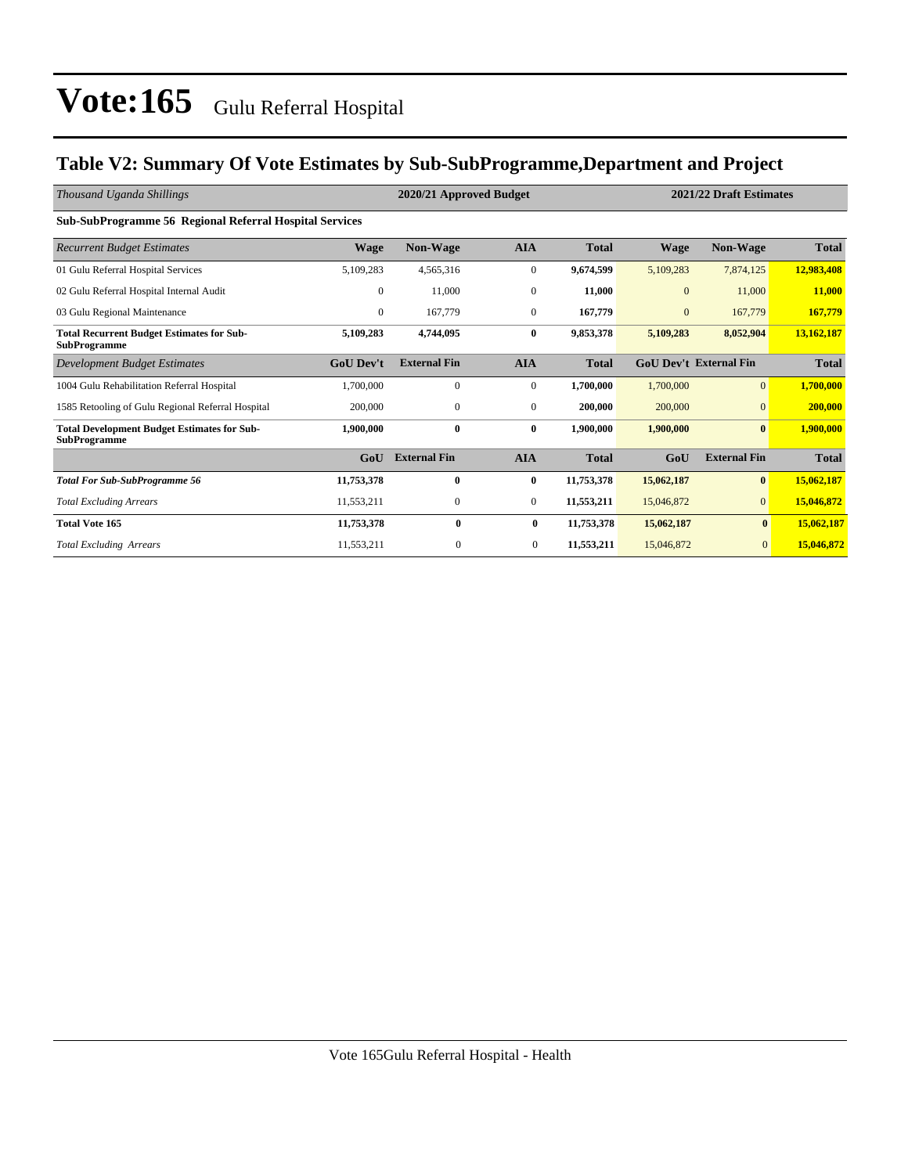### **Table V2: Summary Of Vote Estimates by Sub-SubProgramme,Department and Project**

| Thousand Uganda Shillings                                                 |                  | 2020/21 Approved Budget |                  |              | 2021/22 Draft Estimates |                               |              |  |
|---------------------------------------------------------------------------|------------------|-------------------------|------------------|--------------|-------------------------|-------------------------------|--------------|--|
| <b>Sub-SubProgramme 56 Regional Referral Hospital Services</b>            |                  |                         |                  |              |                         |                               |              |  |
| <b>Recurrent Budget Estimates</b>                                         | Wage             | <b>Non-Wage</b>         | <b>AIA</b>       | <b>Total</b> | <b>Wage</b>             | Non-Wage                      | <b>Total</b> |  |
| 01 Gulu Referral Hospital Services                                        | 5,109,283        | 4,565,316               | $\boldsymbol{0}$ | 9,674,599    | 5,109,283               | 7,874,125                     | 12,983,408   |  |
| 02 Gulu Referral Hospital Internal Audit                                  | $\mathbf{0}$     | 11,000                  | $\bf{0}$         | 11,000       | $\mathbf{0}$            | 11,000                        | 11,000       |  |
| 03 Gulu Regional Maintenance                                              | $\mathbf{0}$     | 167,779                 | $\mathbf{0}$     | 167,779      | $\overline{0}$          | 167,779                       | 167,779      |  |
| <b>Total Recurrent Budget Estimates for Sub-</b><br><b>SubProgramme</b>   | 5,109,283        | 4,744,095               | $\bf{0}$         | 9,853,378    | 5,109,283               | 8,052,904                     | 13,162,187   |  |
| <b>Development Budget Estimates</b>                                       | <b>GoU Dev't</b> | <b>External Fin</b>     | <b>AIA</b>       | <b>Total</b> |                         | <b>GoU Dev't External Fin</b> | <b>Total</b> |  |
| 1004 Gulu Rehabilitation Referral Hospital                                | 1,700,000        | $\mathbf{0}$            | $\mathbf{0}$     | 1,700,000    | 1,700,000               | $\overline{0}$                | 1,700,000    |  |
| 1585 Retooling of Gulu Regional Referral Hospital                         | 200,000          | $\mathbf{0}$            | $\mathbf{0}$     | 200,000      | 200,000                 | $\mathbf{0}$                  | 200,000      |  |
| <b>Total Development Budget Estimates for Sub-</b><br><b>SubProgramme</b> | 1,900,000        | $\bf{0}$                | $\bf{0}$         | 1,900,000    | 1,900,000               | $\mathbf{0}$                  | 1,900,000    |  |
|                                                                           | GoU              | <b>External Fin</b>     | <b>AIA</b>       | <b>Total</b> | GoU                     | <b>External Fin</b>           | <b>Total</b> |  |
| <b>Total For Sub-SubProgramme 56</b>                                      | 11,753,378       | $\bf{0}$                | $\bf{0}$         | 11,753,378   | 15,062,187              | $\bf{0}$                      | 15,062,187   |  |
| <b>Total Excluding Arrears</b>                                            | 11,553,211       | $\mathbf{0}$            | $\overline{0}$   | 11,553,211   | 15,046,872              | $\overline{0}$                | 15,046,872   |  |
| <b>Total Vote 165</b>                                                     | 11,753,378       | $\bf{0}$                | $\bf{0}$         | 11,753,378   | 15,062,187              | $\bf{0}$                      | 15,062,187   |  |
| <b>Total Excluding Arrears</b>                                            | 11,553,211       | $\mathbf{0}$            | $\mathbf{0}$     | 11,553,211   | 15,046,872              | $\mathbf{0}$                  | 15,046,872   |  |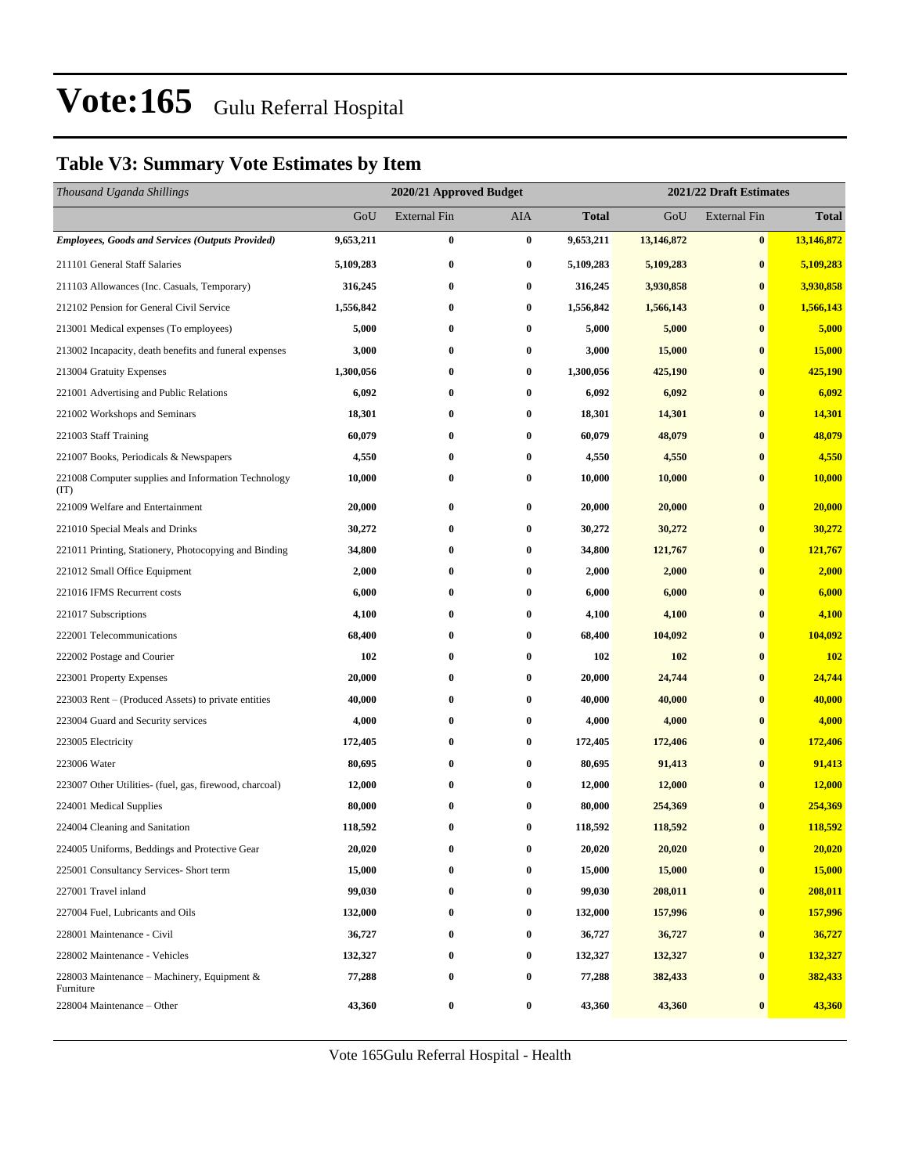### **Table V3: Summary Vote Estimates by Item**

| Thousand Uganda Shillings                                   |           | 2020/21 Approved Budget |                  |           | 2021/22 Draft Estimates |                     |              |  |
|-------------------------------------------------------------|-----------|-------------------------|------------------|-----------|-------------------------|---------------------|--------------|--|
|                                                             | GoU       | <b>External Fin</b>     | AIA              | Total     | GoU                     | <b>External Fin</b> | <b>Total</b> |  |
| <b>Employees, Goods and Services (Outputs Provided)</b>     | 9,653,211 | $\bf{0}$                | $\bf{0}$         | 9,653,211 | 13,146,872              | $\bf{0}$            | 13,146,872   |  |
| 211101 General Staff Salaries                               | 5,109,283 | $\bf{0}$                | $\bf{0}$         | 5,109,283 | 5,109,283               | $\bf{0}$            | 5,109,283    |  |
| 211103 Allowances (Inc. Casuals, Temporary)                 | 316,245   | $\bf{0}$                | $\bf{0}$         | 316,245   | 3,930,858               | $\bf{0}$            | 3,930,858    |  |
| 212102 Pension for General Civil Service                    | 1,556,842 | $\bf{0}$                | $\bf{0}$         | 1,556,842 | 1,566,143               | $\bf{0}$            | 1,566,143    |  |
| 213001 Medical expenses (To employees)                      | 5,000     | $\bf{0}$                | $\bf{0}$         | 5,000     | 5,000                   | $\bf{0}$            | 5,000        |  |
| 213002 Incapacity, death benefits and funeral expenses      | 3,000     | $\bf{0}$                | $\bf{0}$         | 3,000     | 15,000                  | $\bf{0}$            | 15,000       |  |
| 213004 Gratuity Expenses                                    | 1,300,056 | $\bf{0}$                | $\bf{0}$         | 1,300,056 | 425,190                 | $\bf{0}$            | 425,190      |  |
| 221001 Advertising and Public Relations                     | 6,092     | $\bf{0}$                | $\bf{0}$         | 6,092     | 6,092                   | $\bf{0}$            | 6,092        |  |
| 221002 Workshops and Seminars                               | 18,301    | $\bf{0}$                | $\bf{0}$         | 18,301    | 14,301                  | $\bf{0}$            | 14,301       |  |
| 221003 Staff Training                                       | 60,079    | $\bf{0}$                | $\bf{0}$         | 60,079    | 48,079                  | $\bf{0}$            | 48,079       |  |
| 221007 Books, Periodicals & Newspapers                      | 4,550     | $\bf{0}$                | $\bf{0}$         | 4,550     | 4,550                   | $\bf{0}$            | 4,550        |  |
| 221008 Computer supplies and Information Technology<br>(TT) | 10,000    | $\bf{0}$                | $\bf{0}$         | 10,000    | 10,000                  | $\bf{0}$            | 10,000       |  |
| 221009 Welfare and Entertainment                            | 20,000    | $\bf{0}$                | $\bf{0}$         | 20,000    | 20,000                  | $\bf{0}$            | 20,000       |  |
| 221010 Special Meals and Drinks                             | 30,272    | $\bf{0}$                | $\bf{0}$         | 30,272    | 30,272                  | $\bf{0}$            | 30,272       |  |
| 221011 Printing, Stationery, Photocopying and Binding       | 34,800    | $\bf{0}$                | $\bf{0}$         | 34,800    | 121,767                 | $\bf{0}$            | 121,767      |  |
| 221012 Small Office Equipment                               | 2,000     | $\bf{0}$                | $\bf{0}$         | 2,000     | 2,000                   | $\bf{0}$            | 2,000        |  |
| 221016 IFMS Recurrent costs                                 | 6,000     | $\bf{0}$                | $\bf{0}$         | 6,000     | 6,000                   | $\bf{0}$            | 6,000        |  |
| 221017 Subscriptions                                        | 4,100     | $\bf{0}$                | $\bf{0}$         | 4,100     | 4,100                   | $\bf{0}$            | 4,100        |  |
| 222001 Telecommunications                                   | 68,400    | $\bf{0}$                | $\bf{0}$         | 68,400    | 104,092                 | $\bf{0}$            | 104,092      |  |
| 222002 Postage and Courier                                  | 102       | $\bf{0}$                | $\bf{0}$         | 102       | 102                     | $\bf{0}$            | <b>102</b>   |  |
| 223001 Property Expenses                                    | 20,000    | $\bf{0}$                | 0                | 20,000    | 24,744                  | $\bf{0}$            | 24,744       |  |
| 223003 Rent – (Produced Assets) to private entities         | 40,000    | $\bf{0}$                | 0                | 40,000    | 40,000                  | $\bf{0}$            | 40,000       |  |
| 223004 Guard and Security services                          | 4,000     | $\bf{0}$                | $\bf{0}$         | 4,000     | 4,000                   | $\bf{0}$            | 4,000        |  |
| 223005 Electricity                                          | 172,405   | $\bf{0}$                | $\bf{0}$         | 172,405   | 172,406                 | $\bf{0}$            | 172,406      |  |
| 223006 Water                                                | 80,695    | $\bf{0}$                | $\bf{0}$         | 80,695    | 91,413                  | $\bf{0}$            | 91,413       |  |
| 223007 Other Utilities- (fuel, gas, firewood, charcoal)     | 12,000    | $\bf{0}$                | 0                | 12,000    | 12,000                  | $\bf{0}$            | 12,000       |  |
| 224001 Medical Supplies                                     | 80,000    | $\bf{0}$                | 0                | 80,000    | 254,369                 | $\bf{0}$            | 254,369      |  |
| 224004 Cleaning and Sanitation                              | 118,592   | $\bf{0}$                | $\bf{0}$         | 118,592   | 118,592                 | $\bf{0}$            | 118,592      |  |
| 224005 Uniforms, Beddings and Protective Gear               | 20,020    | 0                       | 0                | 20,020    | 20,020                  | $\bf{0}$            | 20,020       |  |
| 225001 Consultancy Services- Short term                     | 15,000    | 0                       | 0                | 15,000    | 15,000                  | $\bf{0}$            | 15,000       |  |
| 227001 Travel inland                                        | 99,030    | $\bf{0}$                | $\bf{0}$         | 99,030    | 208,011                 | $\bf{0}$            | 208,011      |  |
| 227004 Fuel, Lubricants and Oils                            | 132,000   | $\bf{0}$                | 0                | 132,000   | 157,996                 | $\bf{0}$            | 157,996      |  |
| 228001 Maintenance - Civil                                  | 36,727    | $\bf{0}$                | $\bf{0}$         | 36,727    | 36,727                  | $\boldsymbol{0}$    | 36,727       |  |
| 228002 Maintenance - Vehicles                               | 132,327   | $\bf{0}$                | $\bf{0}$         | 132,327   | 132,327                 | $\bf{0}$            | 132,327      |  |
| 228003 Maintenance – Machinery, Equipment $\&$<br>Furniture | 77,288    | $\pmb{0}$               | $\boldsymbol{0}$ | 77,288    | 382,433                 | $\bf{0}$            | 382,433      |  |
| 228004 Maintenance - Other                                  | 43,360    | $\bf{0}$                | $\bf{0}$         | 43,360    | 43,360                  | $\bf{0}$            | 43,360       |  |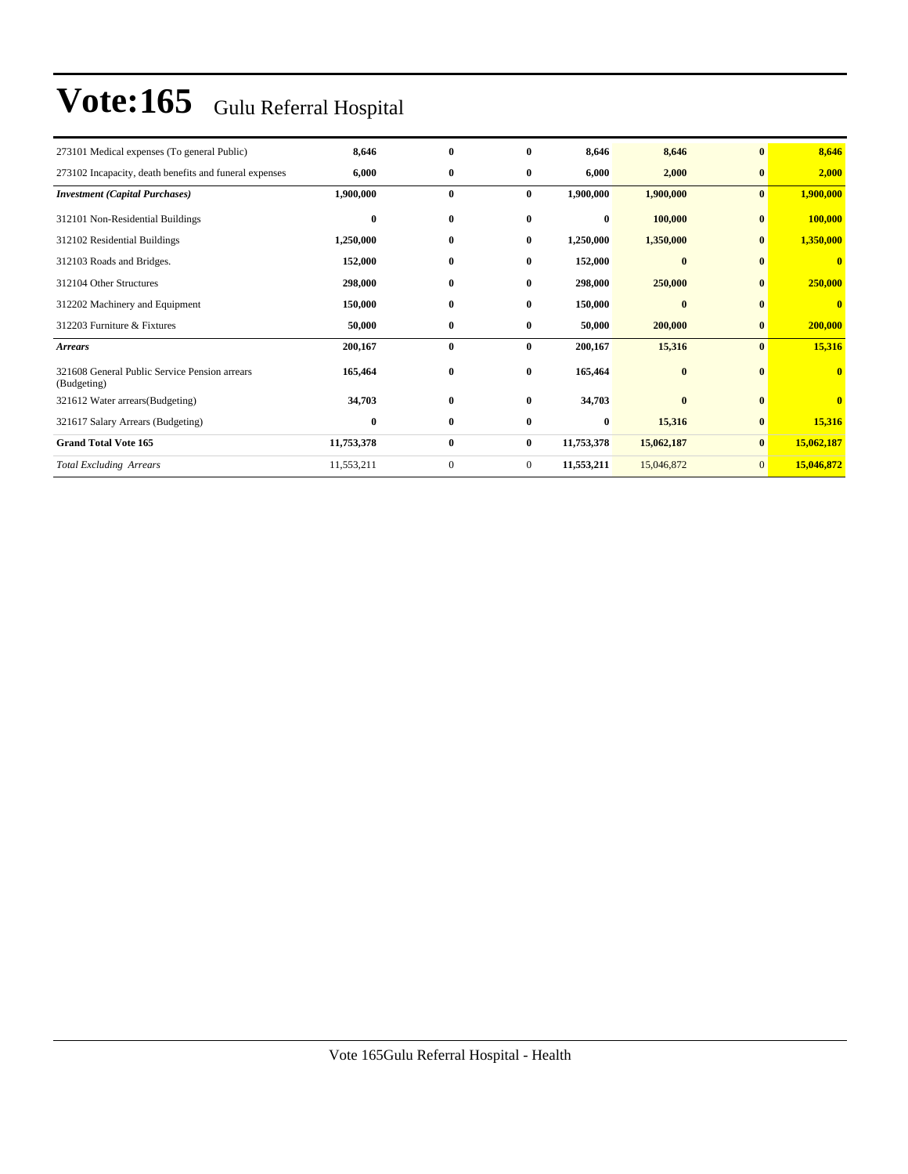| 273101 Medical expenses (To general Public)                  | 8,646      | $\bf{0}$     | 0              | 8,646      | 8,646      | $\bf{0}$       | 8,646                   |
|--------------------------------------------------------------|------------|--------------|----------------|------------|------------|----------------|-------------------------|
| 273102 Incapacity, death benefits and funeral expenses       | 6,000      | $\bf{0}$     | $\bf{0}$       | 6,000      | 2,000      | $\bf{0}$       | 2,000                   |
| <b>Investment (Capital Purchases)</b>                        | 1,900,000  | $\bf{0}$     | $\bf{0}$       | 1,900,000  | 1,900,000  | $\bf{0}$       | 1,900,000               |
| 312101 Non-Residential Buildings                             | $\bf{0}$   | $\bf{0}$     | $\bf{0}$       | $\bf{0}$   | 100,000    | $\bf{0}$       | 100,000                 |
| 312102 Residential Buildings                                 | 1,250,000  | $\bf{0}$     | 0              | 1,250,000  | 1,350,000  | $\mathbf{0}$   | 1,350,000               |
| 312103 Roads and Bridges.                                    | 152,000    | $\bf{0}$     | $\bf{0}$       | 152,000    | $\bf{0}$   | $\bf{0}$       | $\bf{0}$                |
| 312104 Other Structures                                      | 298,000    | $\bf{0}$     | $\bf{0}$       | 298,000    | 250,000    | $\bf{0}$       | 250,000                 |
| 312202 Machinery and Equipment                               | 150,000    | $\bf{0}$     | 0              | 150,000    | $\bf{0}$   | $\mathbf{0}$   | $\bf{0}$                |
| 312203 Furniture & Fixtures                                  | 50,000     | $\bf{0}$     | $\bf{0}$       | 50,000     | 200,000    | $\bf{0}$       | 200,000                 |
| <b>Arrears</b>                                               | 200,167    | $\bf{0}$     | $\bf{0}$       | 200,167    | 15,316     | $\bf{0}$       | 15,316                  |
| 321608 General Public Service Pension arrears<br>(Budgeting) | 165,464    | $\bf{0}$     | $\bf{0}$       | 165,464    | $\bf{0}$   | $\mathbf{0}$   | $\mathbf{0}$            |
| 321612 Water arrears(Budgeting)                              | 34,703     | $\bf{0}$     | $\bf{0}$       | 34,703     | $\bf{0}$   | $\bf{0}$       | $\overline{\mathbf{0}}$ |
| 321617 Salary Arrears (Budgeting)                            | $\bf{0}$   | $\bf{0}$     | 0              | $\bf{0}$   | 15,316     | $\bf{0}$       | 15,316                  |
| <b>Grand Total Vote 165</b>                                  | 11,753,378 | $\bf{0}$     | $\bf{0}$       | 11,753,378 | 15,062,187 | $\bf{0}$       | 15,062,187              |
| <b>Total Excluding Arrears</b>                               | 11,553,211 | $\mathbf{0}$ | $\overline{0}$ | 11,553,211 | 15,046,872 | $\overline{0}$ | 15,046,872              |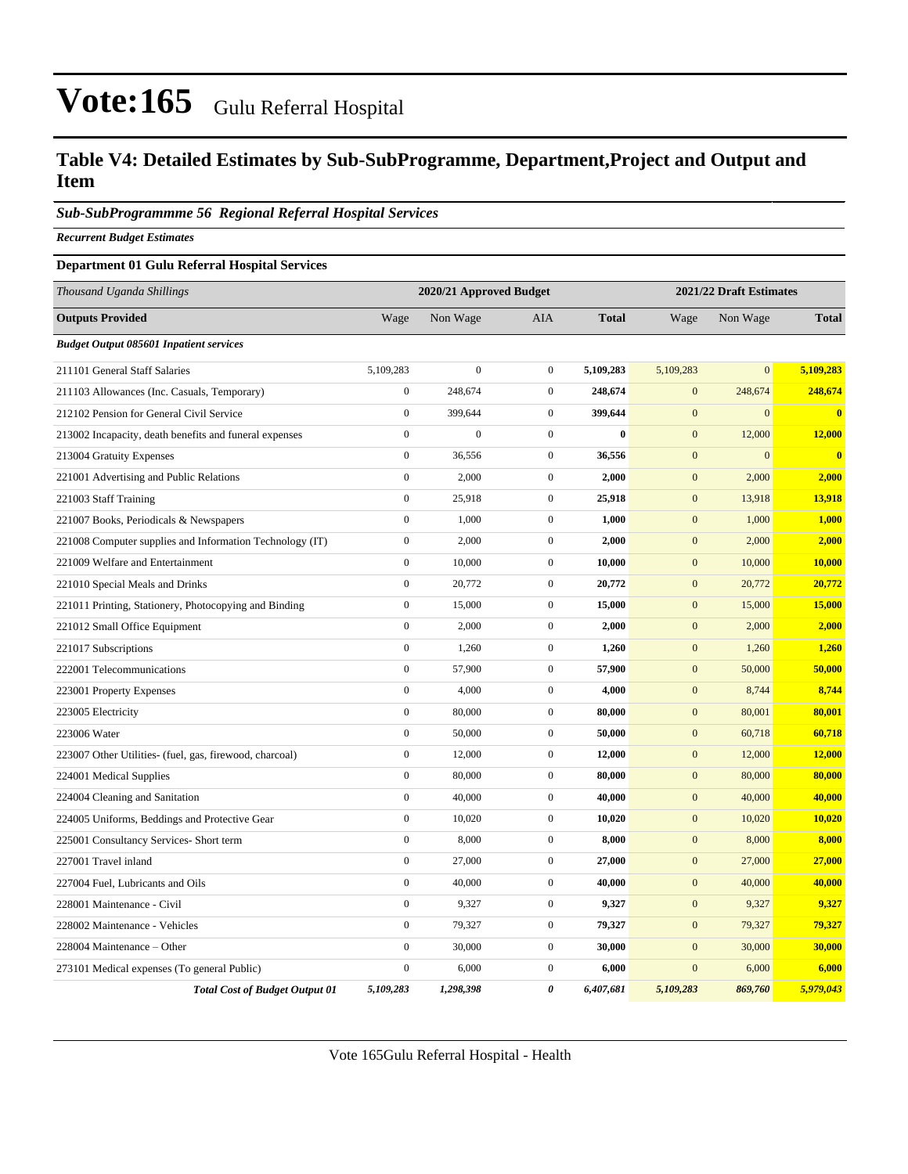### **Table V4: Detailed Estimates by Sub-SubProgramme, Department,Project and Output and Item**

#### *Sub-SubProgrammme 56 Regional Referral Hospital Services*

*Recurrent Budget Estimates*

#### **Department 01 Gulu Referral Hospital Services**

| Thousand Uganda Shillings                                |                  | 2020/21 Approved Budget |                  |              | 2021/22 Draft Estimates |                  |              |  |
|----------------------------------------------------------|------------------|-------------------------|------------------|--------------|-------------------------|------------------|--------------|--|
| <b>Outputs Provided</b>                                  | Wage             | Non Wage                | AIA              | <b>Total</b> | Wage                    | Non Wage         | <b>Total</b> |  |
| <b>Budget Output 085601 Inpatient services</b>           |                  |                         |                  |              |                         |                  |              |  |
| 211101 General Staff Salaries                            | 5,109,283        | $\overline{0}$          | $\mathbf{0}$     | 5,109,283    | 5,109,283               | $\overline{0}$   | 5,109,283    |  |
| 211103 Allowances (Inc. Casuals, Temporary)              | $\boldsymbol{0}$ | 248,674                 | $\mathbf{0}$     | 248,674      | $\mathbf{0}$            | 248,674          | 248,674      |  |
| 212102 Pension for General Civil Service                 | $\boldsymbol{0}$ | 399,644                 | $\mathbf{0}$     | 399,644      | $\mathbf{0}$            | $\overline{0}$   | $\mathbf{0}$ |  |
| 213002 Incapacity, death benefits and funeral expenses   | $\boldsymbol{0}$ | $\boldsymbol{0}$        | $\mathbf{0}$     | $\bf{0}$     | $\mathbf{0}$            | 12,000           | 12,000       |  |
| 213004 Gratuity Expenses                                 | $\boldsymbol{0}$ | 36,556                  | $\mathbf{0}$     | 36,556       | $\mathbf{0}$            | $\boldsymbol{0}$ | $\bf{0}$     |  |
| 221001 Advertising and Public Relations                  | $\boldsymbol{0}$ | 2,000                   | $\mathbf{0}$     | 2,000        | $\mathbf{0}$            | 2,000            | 2,000        |  |
| 221003 Staff Training                                    | $\mathbf{0}$     | 25,918                  | $\mathbf{0}$     | 25,918       | $\mathbf{0}$            | 13,918           | 13,918       |  |
| 221007 Books, Periodicals & Newspapers                   | $\mathbf{0}$     | 1,000                   | $\overline{0}$   | 1,000        | $\mathbf{0}$            | 1,000            | 1,000        |  |
| 221008 Computer supplies and Information Technology (IT) | $\boldsymbol{0}$ | 2,000                   | $\mathbf{0}$     | 2,000        | $\mathbf{0}$            | 2,000            | 2,000        |  |
| 221009 Welfare and Entertainment                         | $\boldsymbol{0}$ | 10,000                  | $\mathbf{0}$     | 10,000       | $\mathbf{0}$            | 10,000           | 10,000       |  |
| 221010 Special Meals and Drinks                          | $\boldsymbol{0}$ | 20,772                  | $\mathbf{0}$     | 20,772       | $\boldsymbol{0}$        | 20,772           | 20,772       |  |
| 221011 Printing, Stationery, Photocopying and Binding    | $\boldsymbol{0}$ | 15,000                  | $\boldsymbol{0}$ | 15,000       | $\boldsymbol{0}$        | 15,000           | 15,000       |  |
| 221012 Small Office Equipment                            | $\mathbf{0}$     | 2,000                   | $\mathbf{0}$     | 2,000        | $\mathbf{0}$            | 2,000            | 2,000        |  |
| 221017 Subscriptions                                     | $\boldsymbol{0}$ | 1,260                   | $\mathbf{0}$     | 1,260        | $\mathbf{0}$            | 1,260            | 1,260        |  |
| 222001 Telecommunications                                | $\boldsymbol{0}$ | 57,900                  | $\mathbf{0}$     | 57,900       | $\mathbf{0}$            | 50,000           | 50,000       |  |
| 223001 Property Expenses                                 | $\boldsymbol{0}$ | 4,000                   | $\mathbf{0}$     | 4,000        | $\mathbf{0}$            | 8,744            | 8,744        |  |
| 223005 Electricity                                       | $\boldsymbol{0}$ | 80,000                  | $\mathbf 0$      | 80,000       | $\mathbf{0}$            | 80,001           | 80,001       |  |
| 223006 Water                                             | $\mathbf{0}$     | 50,000                  | $\overline{0}$   | 50,000       | $\mathbf{0}$            | 60,718           | 60,718       |  |
| 223007 Other Utilities- (fuel, gas, firewood, charcoal)  | $\boldsymbol{0}$ | 12,000                  | $\boldsymbol{0}$ | 12,000       | $\mathbf{0}$            | 12,000           | 12,000       |  |
| 224001 Medical Supplies                                  | $\boldsymbol{0}$ | 80,000                  | $\mathbf{0}$     | 80,000       | $\mathbf{0}$            | 80,000           | 80,000       |  |
| 224004 Cleaning and Sanitation                           | $\boldsymbol{0}$ | 40,000                  | $\mathbf{0}$     | 40,000       | $\mathbf{0}$            | 40,000           | 40,000       |  |
| 224005 Uniforms, Beddings and Protective Gear            | $\boldsymbol{0}$ | 10,020                  | $\mathbf{0}$     | 10,020       | $\mathbf{0}$            | 10,020           | 10,020       |  |
| 225001 Consultancy Services- Short term                  | $\mathbf{0}$     | 8,000                   | $\mathbf 0$      | 8,000        | $\mathbf{0}$            | 8,000            | 8,000        |  |
| 227001 Travel inland                                     | $\overline{0}$   | 27,000                  | $\mathbf{0}$     | 27,000       | $\mathbf{0}$            | 27,000           | 27,000       |  |
| 227004 Fuel, Lubricants and Oils                         | $\mathbf{0}$     | 40,000                  | $\mathbf{0}$     | 40,000       | $\mathbf{0}$            | 40,000           | 40,000       |  |
| 228001 Maintenance - Civil                               | $\boldsymbol{0}$ | 9,327                   | $\mathbf{0}$     | 9,327        | $\mathbf{0}$            | 9,327            | 9,327        |  |
| 228002 Maintenance - Vehicles                            | $\boldsymbol{0}$ | 79,327                  | $\mathbf{0}$     | 79,327       | $\mathbf{0}$            | 79,327           | 79,327       |  |
| 228004 Maintenance - Other                               | $\mathbf{0}$     | 30,000                  | $\mathbf{0}$     | 30,000       | $\overline{0}$          | 30,000           | 30,000       |  |
| 273101 Medical expenses (To general Public)              | $\mathbf{0}$     | 6,000                   | $\overline{0}$   | 6,000        | $\overline{0}$          | 6,000            | 6,000        |  |
| <b>Total Cost of Budget Output 01</b>                    | 5,109,283        | 1,298,398               | $\theta$         | 6,407,681    | 5.109.283               | 869,760          | 5,979,043    |  |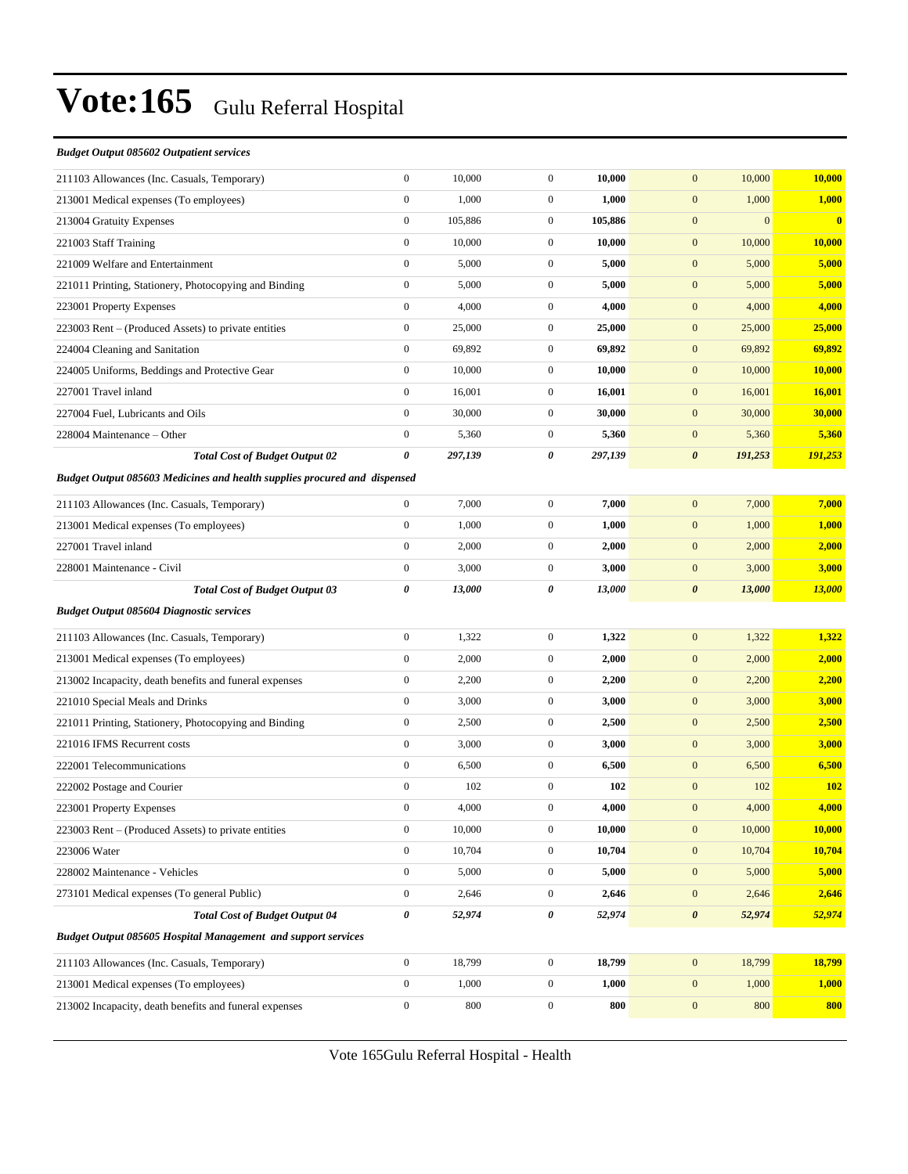#### *Budget Output 085602 Outpatient services*

| 211103 Allowances (Inc. Casuals, Temporary)                                      | $\boldsymbol{0}$      | 10,000  | $\boldsymbol{0}$ | 10,000  | 10,000<br>$\mathbf{0}$           | 10,000                  |
|----------------------------------------------------------------------------------|-----------------------|---------|------------------|---------|----------------------------------|-------------------------|
| 213001 Medical expenses (To employees)                                           | $\boldsymbol{0}$      | 1,000   | $\mathbf{0}$     | 1,000   | $\mathbf{0}$<br>1,000            | 1,000                   |
| 213004 Gratuity Expenses                                                         | $\boldsymbol{0}$      | 105,886 | $\mathbf{0}$     | 105,886 | $\mathbf{0}$<br>$\mathbf{0}$     | $\overline{\mathbf{0}}$ |
| 221003 Staff Training                                                            | $\boldsymbol{0}$      | 10,000  | $\mathbf{0}$     | 10,000  | $\mathbf{0}$<br>10,000           | <b>10,000</b>           |
| 221009 Welfare and Entertainment                                                 | $\boldsymbol{0}$      | 5,000   | $\boldsymbol{0}$ | 5,000   | $\mathbf{0}$<br>5,000            | 5,000                   |
| 221011 Printing, Stationery, Photocopying and Binding                            | $\boldsymbol{0}$      | 5,000   | $\boldsymbol{0}$ | 5,000   | $\mathbf{0}$<br>5,000            | 5,000                   |
| 223001 Property Expenses                                                         | $\boldsymbol{0}$      | 4,000   | $\boldsymbol{0}$ | 4,000   | $\mathbf{0}$<br>4,000            | 4,000                   |
| 223003 Rent – (Produced Assets) to private entities                              | $\boldsymbol{0}$      | 25,000  | $\mathbf{0}$     | 25,000  | $\mathbf{0}$<br>25,000           | 25,000                  |
| 224004 Cleaning and Sanitation                                                   | $\boldsymbol{0}$      | 69,892  | $\mathbf{0}$     | 69,892  | $\mathbf{0}$<br>69,892           | 69,892                  |
| 224005 Uniforms, Beddings and Protective Gear                                    | $\mathbf{0}$          | 10,000  | $\mathbf{0}$     | 10,000  | $\mathbf{0}$<br>10,000           | 10,000                  |
| 227001 Travel inland                                                             | $\boldsymbol{0}$      | 16,001  | $\boldsymbol{0}$ | 16,001  | $\mathbf{0}$<br>16,001           | 16,001                  |
| 227004 Fuel, Lubricants and Oils                                                 | $\boldsymbol{0}$      | 30,000  | $\boldsymbol{0}$ | 30,000  | $\boldsymbol{0}$<br>30,000       | 30,000                  |
| 228004 Maintenance – Other                                                       | $\boldsymbol{0}$      | 5,360   | $\boldsymbol{0}$ | 5,360   | $\mathbf{0}$<br>5,360            | 5,360                   |
| <b>Total Cost of Budget Output 02</b>                                            | $\boldsymbol{\theta}$ | 297,139 | 0                | 297,139 | $\boldsymbol{\theta}$<br>191,253 | 191,253                 |
| <b>Budget Output 085603 Medicines and health supplies procured and dispensed</b> |                       |         |                  |         |                                  |                         |
| 211103 Allowances (Inc. Casuals, Temporary)                                      | $\boldsymbol{0}$      | 7,000   | $\boldsymbol{0}$ | 7,000   | 7,000<br>$\mathbf{0}$            | 7,000                   |
| 213001 Medical expenses (To employees)                                           | $\boldsymbol{0}$      | 1,000   | $\boldsymbol{0}$ | 1,000   | $\mathbf{0}$<br>1,000            | 1,000                   |
| 227001 Travel inland                                                             | $\boldsymbol{0}$      | 2,000   | $\boldsymbol{0}$ | 2,000   | $\mathbf{0}$<br>2,000            | 2,000                   |
| 228001 Maintenance - Civil                                                       | $\boldsymbol{0}$      | 3,000   | $\boldsymbol{0}$ | 3,000   | $\mathbf{0}$<br>3,000            | 3,000                   |
| <b>Total Cost of Budget Output 03</b>                                            | $\pmb{\theta}$        | 13,000  | 0                | 13,000  | $\boldsymbol{\theta}$<br>13,000  | <b>13,000</b>           |
|                                                                                  |                       |         |                  |         |                                  |                         |
| <b>Budget Output 085604 Diagnostic services</b>                                  |                       |         |                  |         |                                  |                         |
| 211103 Allowances (Inc. Casuals, Temporary)                                      | $\boldsymbol{0}$      | 1,322   | $\boldsymbol{0}$ | 1,322   | $\mathbf{0}$<br>1,322            | 1,322                   |
| 213001 Medical expenses (To employees)                                           | $\boldsymbol{0}$      | 2,000   | $\boldsymbol{0}$ | 2,000   | $\mathbf{0}$<br>2,000            | 2,000                   |
| 213002 Incapacity, death benefits and funeral expenses                           | $\boldsymbol{0}$      | 2,200   | $\boldsymbol{0}$ | 2,200   | $\mathbf{0}$<br>2,200            | 2,200                   |
| 221010 Special Meals and Drinks                                                  | $\boldsymbol{0}$      | 3,000   | $\mathbf{0}$     | 3,000   | $\mathbf{0}$<br>3,000            | 3,000                   |
| 221011 Printing, Stationery, Photocopying and Binding                            | $\boldsymbol{0}$      | 2,500   | $\boldsymbol{0}$ | 2,500   | $\mathbf{0}$<br>2,500            | 2,500                   |
| 221016 IFMS Recurrent costs                                                      | $\mathbf{0}$          | 3,000   | $\boldsymbol{0}$ | 3,000   | $\mathbf{0}$<br>3,000            | 3,000                   |
| 222001 Telecommunications                                                        | $\boldsymbol{0}$      | 6,500   | $\boldsymbol{0}$ | 6,500   | $\mathbf{0}$<br>6,500            | 6,500                   |
| 222002 Postage and Courier                                                       | $\mathbf{0}$          | 102     | $\mathbf{0}$     | 102     | $\mathbf{0}$<br>102              | <b>102</b>              |
| 223001 Property Expenses                                                         | $\boldsymbol{0}$      | 4,000   | $\boldsymbol{0}$ | 4,000   | $\mathbf{0}$<br>4,000            | 4,000                   |
| 223003 Rent - (Produced Assets) to private entities                              | $\boldsymbol{0}$      | 10,000  | $\overline{0}$   | 10,000  | 10,000<br>$\mathbf{0}$           | 10,000                  |
| 223006 Water                                                                     | $\boldsymbol{0}$      | 10,704  | $\boldsymbol{0}$ | 10,704  | $\mathbf{0}$<br>10,704           | 10,704                  |
| 228002 Maintenance - Vehicles                                                    | $\boldsymbol{0}$      | 5,000   | $\boldsymbol{0}$ | 5,000   | $\boldsymbol{0}$<br>5,000        | 5,000                   |
| 273101 Medical expenses (To general Public)                                      | $\boldsymbol{0}$      | 2,646   | $\boldsymbol{0}$ | 2,646   | 2,646<br>$\boldsymbol{0}$        | 2,646                   |
| <b>Total Cost of Budget Output 04</b>                                            | $\pmb{\theta}$        | 52,974  | 0                | 52,974  | 52,974<br>$\boldsymbol{\theta}$  | 52,974                  |
| <b>Budget Output 085605 Hospital Management and support services</b>             |                       |         |                  |         |                                  |                         |
| 211103 Allowances (Inc. Casuals, Temporary)                                      | $\boldsymbol{0}$      | 18,799  | $\boldsymbol{0}$ | 18,799  | $\boldsymbol{0}$<br>18,799       | 18,799                  |
| 213001 Medical expenses (To employees)                                           | $\boldsymbol{0}$      | 1,000   | $\boldsymbol{0}$ | 1,000   | $\boldsymbol{0}$<br>1,000        | 1,000                   |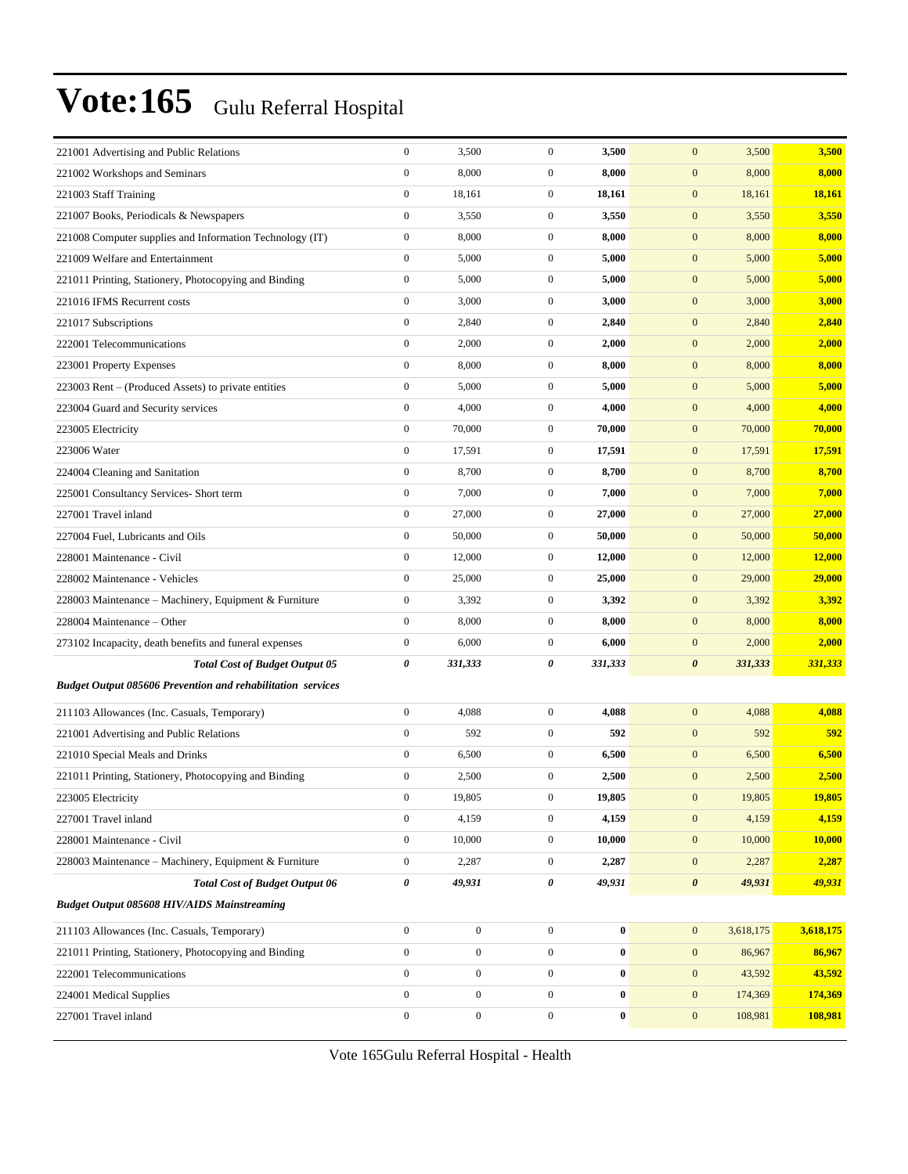| 221001 Advertising and Public Relations                            | $\boldsymbol{0}$ | 3,500            | $\boldsymbol{0}$ | 3,500            | $\mathbf{0}$<br>3,500            | 3,500     |
|--------------------------------------------------------------------|------------------|------------------|------------------|------------------|----------------------------------|-----------|
| 221002 Workshops and Seminars                                      | $\boldsymbol{0}$ | 8,000            | $\boldsymbol{0}$ | 8,000            | $\boldsymbol{0}$<br>8,000        | 8,000     |
| 221003 Staff Training                                              | $\boldsymbol{0}$ | 18,161           | $\boldsymbol{0}$ | 18,161           | $\boldsymbol{0}$<br>18,161       | 18,161    |
| 221007 Books, Periodicals & Newspapers                             | $\boldsymbol{0}$ | 3,550            | $\boldsymbol{0}$ | 3,550            | $\boldsymbol{0}$<br>3,550        | 3,550     |
| 221008 Computer supplies and Information Technology (IT)           | $\boldsymbol{0}$ | 8,000            | $\boldsymbol{0}$ | 8,000            | $\mathbf{0}$<br>8,000            | 8,000     |
| 221009 Welfare and Entertainment                                   | $\boldsymbol{0}$ | 5,000            | $\boldsymbol{0}$ | 5,000            | $\mathbf{0}$<br>5,000            | 5,000     |
| 221011 Printing, Stationery, Photocopying and Binding              | $\boldsymbol{0}$ | 5,000            | $\boldsymbol{0}$ | 5,000            | $\boldsymbol{0}$<br>5,000        | 5,000     |
| 221016 IFMS Recurrent costs                                        | $\boldsymbol{0}$ | 3,000            | $\boldsymbol{0}$ | 3,000            | $\mathbf{0}$<br>3,000            | 3,000     |
| 221017 Subscriptions                                               | $\boldsymbol{0}$ | 2,840            | $\boldsymbol{0}$ | 2,840            | $\boldsymbol{0}$<br>2,840        | 2,840     |
| 222001 Telecommunications                                          | $\boldsymbol{0}$ | 2,000            | $\boldsymbol{0}$ | 2,000            | $\mathbf{0}$<br>2,000            | 2,000     |
| 223001 Property Expenses                                           | $\boldsymbol{0}$ | 8,000            | $\boldsymbol{0}$ | 8,000            | $\mathbf{0}$<br>8,000            | 8,000     |
| 223003 Rent – (Produced Assets) to private entities                | $\boldsymbol{0}$ | 5,000            | $\boldsymbol{0}$ | 5,000            | $\boldsymbol{0}$<br>5,000        | 5,000     |
| 223004 Guard and Security services                                 | $\boldsymbol{0}$ | 4,000            | $\boldsymbol{0}$ | 4,000            | $\boldsymbol{0}$<br>4,000        | 4,000     |
| 223005 Electricity                                                 | $\boldsymbol{0}$ | 70,000           | $\boldsymbol{0}$ | 70,000           | $\boldsymbol{0}$<br>70,000       | 70,000    |
| 223006 Water                                                       | $\boldsymbol{0}$ | 17,591           | $\boldsymbol{0}$ | 17,591           | $\mathbf{0}$<br>17,591           | 17,591    |
| 224004 Cleaning and Sanitation                                     | $\boldsymbol{0}$ | 8,700            | $\boldsymbol{0}$ | 8,700            | $\mathbf{0}$<br>8,700            | 8,700     |
| 225001 Consultancy Services- Short term                            | $\boldsymbol{0}$ | 7,000            | $\boldsymbol{0}$ | 7,000            | $\boldsymbol{0}$<br>7,000        | 7,000     |
| 227001 Travel inland                                               | $\boldsymbol{0}$ | 27,000           | $\boldsymbol{0}$ | 27,000           | $\boldsymbol{0}$<br>27,000       | 27,000    |
| 227004 Fuel, Lubricants and Oils                                   | $\boldsymbol{0}$ | 50,000           | $\boldsymbol{0}$ | 50,000           | $\boldsymbol{0}$<br>50,000       | 50,000    |
| 228001 Maintenance - Civil                                         | $\boldsymbol{0}$ | 12,000           | $\boldsymbol{0}$ | 12,000           | $\mathbf{0}$<br>12,000           | 12,000    |
| 228002 Maintenance - Vehicles                                      | $\boldsymbol{0}$ | 25,000           | $\boldsymbol{0}$ | 25,000           | $\mathbf{0}$<br>29,000           | 29,000    |
| 228003 Maintenance – Machinery, Equipment & Furniture              | $\boldsymbol{0}$ | 3,392            | $\boldsymbol{0}$ | 3,392            | $\mathbf{0}$<br>3,392            | 3,392     |
| 228004 Maintenance - Other                                         | $\boldsymbol{0}$ | 8,000            | $\boldsymbol{0}$ | 8,000            | $\mathbf{0}$<br>8,000            | 8,000     |
| 273102 Incapacity, death benefits and funeral expenses             | $\boldsymbol{0}$ | 6,000            | $\boldsymbol{0}$ | 6,000            | $\mathbf{0}$<br>2,000            | 2,000     |
| <b>Total Cost of Budget Output 05</b>                              | 0                | 331,333          | 0                | 331,333          | 331,333<br>$\boldsymbol{\theta}$ | 331,333   |
| <b>Budget Output 085606 Prevention and rehabilitation services</b> |                  |                  |                  |                  |                                  |           |
| 211103 Allowances (Inc. Casuals, Temporary)                        | $\boldsymbol{0}$ | 4,088            | $\boldsymbol{0}$ | 4,088            | $\mathbf{0}$<br>4,088            | 4,088     |
| 221001 Advertising and Public Relations                            | $\boldsymbol{0}$ | 592              | $\boldsymbol{0}$ | 592              | $\mathbf{0}$<br>592              | 592       |
| 221010 Special Meals and Drinks                                    | $\boldsymbol{0}$ | 6,500            | $\boldsymbol{0}$ | 6,500            | $\mathbf{0}$<br>6,500            | 6,500     |
| 221011 Printing, Stationery, Photocopying and Binding              | $\boldsymbol{0}$ | 2,500            | $\boldsymbol{0}$ | 2,500            | $\boldsymbol{0}$<br>2,500        | 2,500     |
| 223005 Electricity                                                 | $\mathbf{0}$     | 19,805           | $\mathbf{0}$     | 19,805           | $\mathbf{0}$<br>19,805           | 19,805    |
| 227001 Travel inland                                               | $\boldsymbol{0}$ | 4,159            | $\boldsymbol{0}$ | 4,159            | $\boldsymbol{0}$<br>4,159        | 4,159     |
| 228001 Maintenance - Civil                                         | $\boldsymbol{0}$ | 10,000           | $\boldsymbol{0}$ | 10,000           | $\boldsymbol{0}$<br>10,000       | 10,000    |
| 228003 Maintenance – Machinery, Equipment & Furniture              | $\boldsymbol{0}$ | 2,287            | $\boldsymbol{0}$ | 2,287            | $\mathbf{0}$<br>2,287            | 2,287     |
| <b>Total Cost of Budget Output 06</b>                              | 0                | 49,931           | 0                | 49,931           | $\boldsymbol{\theta}$<br>49,931  | 49,931    |
| <b>Budget Output 085608 HIV/AIDS Mainstreaming</b>                 |                  |                  |                  |                  |                                  |           |
| 211103 Allowances (Inc. Casuals, Temporary)                        | $\boldsymbol{0}$ | $\boldsymbol{0}$ | $\mathbf{0}$     | $\boldsymbol{0}$ | $\boldsymbol{0}$<br>3,618,175    | 3,618,175 |
| 221011 Printing, Stationery, Photocopying and Binding              | $\boldsymbol{0}$ | $\boldsymbol{0}$ | $\overline{0}$   | $\boldsymbol{0}$ | $\boldsymbol{0}$<br>86,967       | 86,967    |
| 222001 Telecommunications                                          | $\boldsymbol{0}$ | $\boldsymbol{0}$ | $\boldsymbol{0}$ | $\boldsymbol{0}$ | $\boldsymbol{0}$<br>43,592       | 43,592    |
| 224001 Medical Supplies                                            | $\boldsymbol{0}$ | $\boldsymbol{0}$ | $\overline{0}$   | 0                | $\mathbf{0}$<br>174,369          | 174,369   |
|                                                                    |                  |                  |                  |                  |                                  |           |
| 227001 Travel inland                                               | $\boldsymbol{0}$ | $\boldsymbol{0}$ | $\boldsymbol{0}$ | 0                | $\mathbf{0}$<br>108,981          | 108,981   |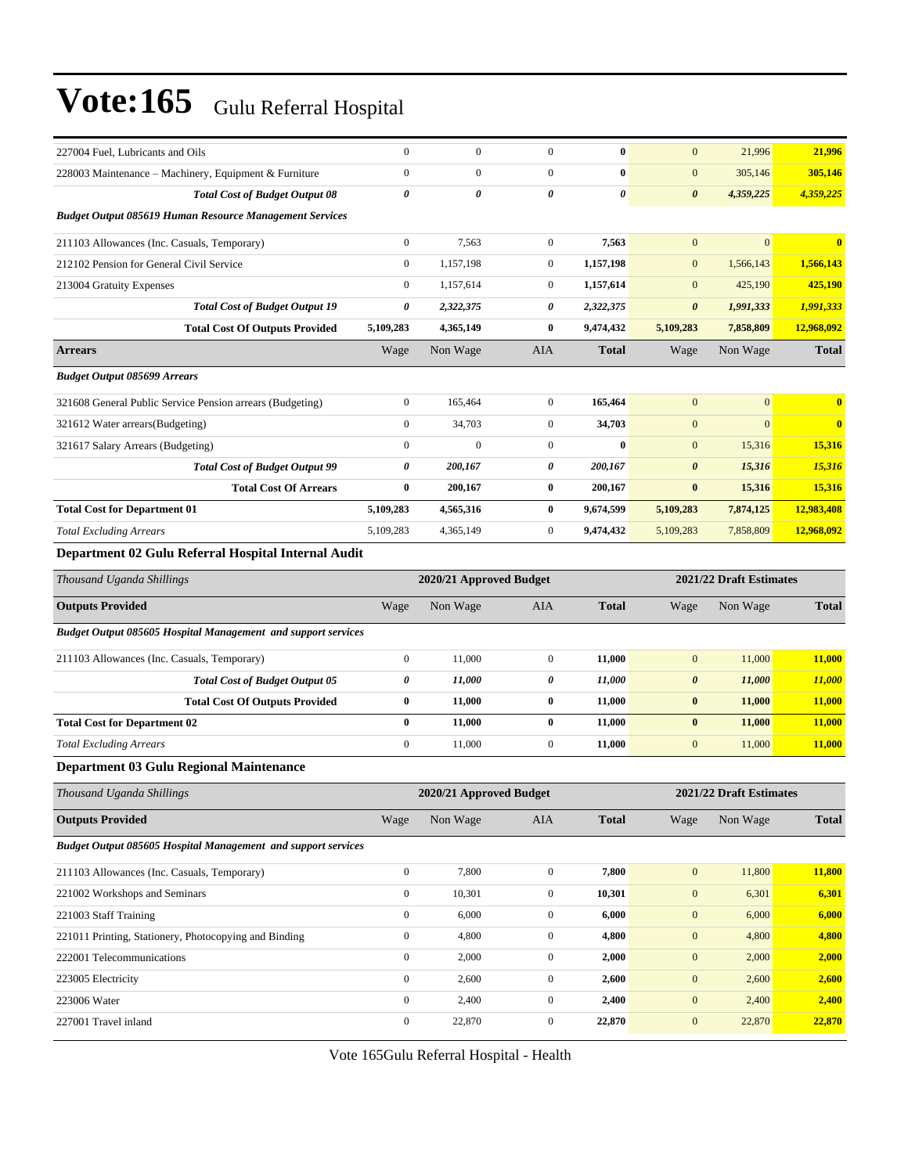| 227004 Fuel, Lubricants and Oils                                     | $\boldsymbol{0}$      | $\boldsymbol{0}$        | $\mathbf{0}$     | $\bf{0}$       | $\mathbf{0}$          | 21,996                  | 21,996       |
|----------------------------------------------------------------------|-----------------------|-------------------------|------------------|----------------|-----------------------|-------------------------|--------------|
| 228003 Maintenance - Machinery, Equipment & Furniture                | $\boldsymbol{0}$      | $\boldsymbol{0}$        | $\mathbf{0}$     | $\bf{0}$       | $\mathbf{0}$          | 305,146                 | 305,146      |
| <b>Total Cost of Budget Output 08</b>                                | $\pmb{\theta}$        | 0                       | 0                | $\pmb{\theta}$ | $\boldsymbol{\theta}$ | 4,359,225               | 4,359,225    |
| <b>Budget Output 085619 Human Resource Management Services</b>       |                       |                         |                  |                |                       |                         |              |
| 211103 Allowances (Inc. Casuals, Temporary)                          | $\boldsymbol{0}$      | 7,563                   | $\boldsymbol{0}$ | 7,563          | $\mathbf{0}$          | $\overline{0}$          | $\bf{0}$     |
| 212102 Pension for General Civil Service                             | $\boldsymbol{0}$      | 1,157,198               | $\boldsymbol{0}$ | 1,157,198      | $\mathbf{0}$          | 1,566,143               | 1,566,143    |
| 213004 Gratuity Expenses                                             | $\boldsymbol{0}$      | 1,157,614               | $\boldsymbol{0}$ | 1,157,614      | $\mathbf{0}$          | 425,190                 | 425,190      |
| <b>Total Cost of Budget Output 19</b>                                | $\pmb{\theta}$        | 2,322,375               | 0                | 2,322,375      | $\boldsymbol{\theta}$ | 1,991,333               | 1,991,333    |
| <b>Total Cost Of Outputs Provided</b>                                | 5,109,283             | 4,365,149               | 0                | 9,474,432      | 5,109,283             | 7,858,809               | 12,968,092   |
| <b>Arrears</b>                                                       | Wage                  | Non Wage                | <b>AIA</b>       | <b>Total</b>   | Wage                  | Non Wage                | <b>Total</b> |
| <b>Budget Output 085699 Arrears</b>                                  |                       |                         |                  |                |                       |                         |              |
| 321608 General Public Service Pension arrears (Budgeting)            | $\boldsymbol{0}$      | 165,464                 | $\mathbf{0}$     | 165,464        | $\mathbf{0}$          | $\mathbf{0}$            | $\bf{0}$     |
| 321612 Water arrears(Budgeting)                                      | $\boldsymbol{0}$      | 34,703                  | $\mathbf{0}$     | 34,703         | $\mathbf{0}$          | $\mathbf{0}$            | $\mathbf{0}$ |
| 321617 Salary Arrears (Budgeting)                                    | $\boldsymbol{0}$      | $\overline{0}$          | $\boldsymbol{0}$ | $\bf{0}$       | $\mathbf{0}$          | 15,316                  | 15,316       |
| <b>Total Cost of Budget Output 99</b>                                | $\boldsymbol{\theta}$ | 200,167                 | 0                | 200,167        | $\boldsymbol{\theta}$ | 15,316                  | 15,316       |
| <b>Total Cost Of Arrears</b>                                         | $\bf{0}$              | 200,167                 | 0                | 200,167        | $\bf{0}$              | 15,316                  | 15,316       |
| <b>Total Cost for Department 01</b>                                  | 5,109,283             | 4,565,316               | 0                | 9,674,599      | 5,109,283             | 7,874,125               | 12,983,408   |
| <b>Total Excluding Arrears</b>                                       | 5,109,283             | 4,365,149               | $\boldsymbol{0}$ | 9,474,432      | 5,109,283             | 7,858,809               | 12,968,092   |
| Department 02 Gulu Referral Hospital Internal Audit                  |                       |                         |                  |                |                       |                         |              |
| Thousand Uganda Shillings                                            |                       | 2020/21 Approved Budget |                  |                |                       | 2021/22 Draft Estimates |              |
| <b>Outputs Provided</b>                                              | Wage                  | Non Wage                | <b>AIA</b>       | <b>Total</b>   | Wage                  | Non Wage                | <b>Total</b> |
| Budget Output 085605 Hospital Management and support services        |                       |                         |                  |                |                       |                         |              |
| 211103 Allowances (Inc. Casuals, Temporary)                          | $\boldsymbol{0}$      | 11,000                  | $\boldsymbol{0}$ | 11,000         | $\boldsymbol{0}$      | 11,000                  | 11,000       |
| <b>Total Cost of Budget Output 05</b>                                | $\boldsymbol{\theta}$ | 11,000                  | 0                | 11,000         | $\boldsymbol{\theta}$ | 11,000                  | 11,000       |
| <b>Total Cost Of Outputs Provided</b>                                | $\bf{0}$              | 11,000                  | 0                | 11,000         | $\bf{0}$              | 11,000                  | 11,000       |
| <b>Total Cost for Department 02</b>                                  | $\bf{0}$              | 11,000                  | $\bf{0}$         | 11,000         | $\bf{0}$              | 11,000                  | 11,000       |
| <b>Total Excluding Arrears</b>                                       | $\boldsymbol{0}$      | 11,000                  | $\mathbf{0}$     | 11,000         | $\mathbf{0}$          | 11,000                  | 11,000       |
| Department 03 Gulu Regional Maintenance                              |                       |                         |                  |                |                       |                         |              |
| Thousand Uganda Shillings                                            |                       | 2020/21 Approved Budget |                  |                |                       | 2021/22 Draft Estimates |              |
| <b>Outputs Provided</b>                                              | Wage                  | Non Wage                | AIA              | <b>Total</b>   | Wage                  | Non Wage                | <b>Total</b> |
| <b>Budget Output 085605 Hospital Management and support services</b> |                       |                         |                  |                |                       |                         |              |
| 211103 Allowances (Inc. Casuals, Temporary)                          | $\boldsymbol{0}$      | 7,800                   | $\boldsymbol{0}$ | 7,800          | $\boldsymbol{0}$      | 11,800                  | 11,800       |
| 221002 Workshops and Seminars                                        | $\boldsymbol{0}$      | 10,301                  | $\boldsymbol{0}$ | 10,301         | $\boldsymbol{0}$      | 6,301                   | 6,301        |
| 221003 Staff Training                                                | $\boldsymbol{0}$      | 6,000                   | $\boldsymbol{0}$ | 6,000          | $\mathbf{0}$          | 6,000                   | 6,000        |
| 221011 Printing, Stationery, Photocopying and Binding                | $\boldsymbol{0}$      | 4,800                   | $\boldsymbol{0}$ | 4,800          | $\boldsymbol{0}$      | 4,800                   | 4,800        |
| 222001 Telecommunications                                            | $\boldsymbol{0}$      | 2,000                   | $\boldsymbol{0}$ | 2,000          | $\boldsymbol{0}$      | 2,000                   | 2,000        |
| 223005 Electricity                                                   | $\boldsymbol{0}$      | 2,600                   | $\boldsymbol{0}$ | 2,600          | $\mathbf{0}$          | 2,600                   | 2,600        |
| 223006 Water                                                         | $\boldsymbol{0}$      | 2,400                   | $\boldsymbol{0}$ | 2,400          | $\boldsymbol{0}$      | 2,400                   | 2,400        |
| 227001 Travel inland                                                 |                       |                         | $\boldsymbol{0}$ | 22,870         | $\boldsymbol{0}$      | 22,870                  | 22,870       |
|                                                                      | $\boldsymbol{0}$      | 22,870                  |                  |                |                       |                         |              |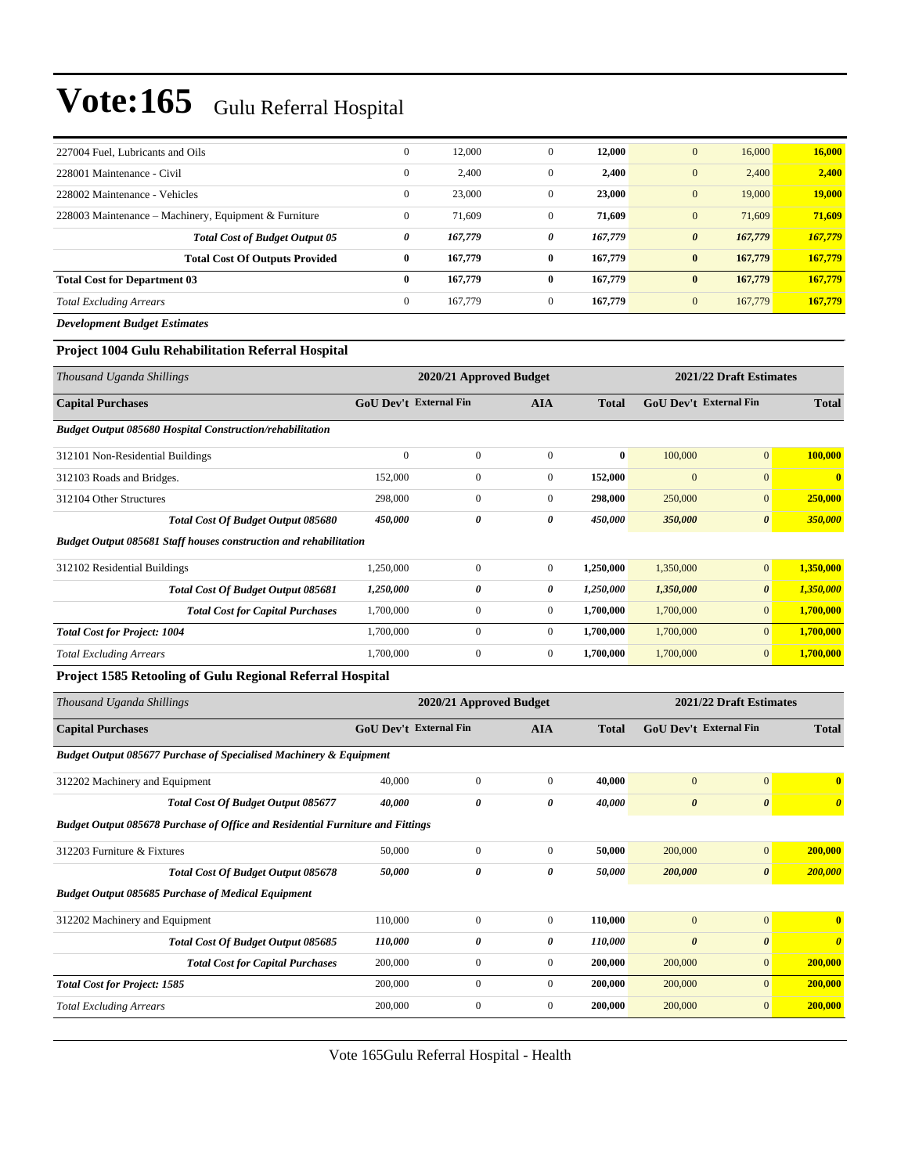|                                                       | $\mathbf{0}$ | 12,000  | $\mathbf{0}$ | 12,000  | 16,000<br>$\mathbf{0}$           | 16,000        |
|-------------------------------------------------------|--------------|---------|--------------|---------|----------------------------------|---------------|
| 227004 Fuel, Lubricants and Oils                      |              |         |              |         |                                  |               |
| 228001 Maintenance - Civil                            | $\mathbf{0}$ | 2,400   | $\mathbf{0}$ | 2,400   | 2,400<br>$\mathbf{0}$            | 2,400         |
| 228002 Maintenance - Vehicles                         | $\mathbf{0}$ | 23,000  | $\mathbf{0}$ | 23,000  | 19,000<br>$\mathbf{0}$           | <b>19,000</b> |
| 228003 Maintenance – Machinery, Equipment & Furniture | $\mathbf{0}$ | 71,609  | $\mathbf{0}$ | 71,609  | $\mathbf{0}$<br>71,609           | 71,609        |
| <b>Total Cost of Budget Output 05</b>                 | 0            | 167,779 | 0            | 167,779 | 167,779<br>$\boldsymbol{\theta}$ | 167,779       |
| <b>Total Cost Of Outputs Provided</b>                 | $\bf{0}$     | 167,779 | $\bf{0}$     | 167,779 | 167,779<br>$\bf{0}$              | 167,779       |
| <b>Total Cost for Department 03</b>                   | $\bf{0}$     | 167,779 | 0            | 167,779 | 167,779<br>$\bf{0}$              | 167,779       |
| <b>Total Excluding Arrears</b>                        | $\mathbf{0}$ | 167,779 | $\mathbf{0}$ | 167,779 | 167,779<br>$\mathbf{0}$          | 167,779       |
| <b>Development Budget Estimates</b>                   |              |         |              |         |                                  |               |

#### **Project 1004 Gulu Rehabilitation Referral Hospital**

| Thousand Uganda Shillings                                                | 2020/21 Approved Budget       |              |                |              | 2021/22 Draft Estimates       |                       |              |
|--------------------------------------------------------------------------|-------------------------------|--------------|----------------|--------------|-------------------------------|-----------------------|--------------|
| <b>Capital Purchases</b>                                                 | <b>GoU Dev't External Fin</b> |              | <b>AIA</b>     | <b>Total</b> | <b>GoU Dev't External Fin</b> |                       | <b>Total</b> |
| <b>Budget Output 085680 Hospital Construction/rehabilitation</b>         |                               |              |                |              |                               |                       |              |
| 312101 Non-Residential Buildings                                         | $\mathbf{0}$                  | $\mathbf{0}$ | $\mathbf{0}$   | $\bf{0}$     | 100,000                       | $\mathbf{0}$          | 100,000      |
| 312103 Roads and Bridges.                                                | 152,000                       | $\mathbf{0}$ | $\overline{0}$ | 152,000      | $\overline{0}$                | $\overline{0}$        | $\mathbf{0}$ |
| 312104 Other Structures                                                  | 298,000                       | $\mathbf{0}$ | $\mathbf{0}$   | 298,000      | 250,000                       | $\mathbf{0}$          | 250,000      |
| Total Cost Of Budget Output 085680                                       | 450,000                       | 0            | 0              | 450,000      | 350,000                       | $\boldsymbol{\theta}$ | 350,000      |
| <b>Budget Output 085681 Staff houses construction and rehabilitation</b> |                               |              |                |              |                               |                       |              |
| 312102 Residential Buildings                                             | 1,250,000                     | $\mathbf{0}$ | $\mathbf{0}$   | 1,250,000    | 1,350,000                     | $\mathbf{0}$          | 1,350,000    |
| <b>Total Cost Of Budget Output 085681</b>                                | 1,250,000                     | 0            | 0              | 1,250,000    | 1,350,000                     | $\boldsymbol{\theta}$ | 1,350,000    |
| <b>Total Cost for Capital Purchases</b>                                  | 1,700,000                     | $\mathbf{0}$ | $\overline{0}$ | 1,700,000    | 1,700,000                     | $\overline{0}$        | 1,700,000    |
| <b>Total Cost for Project: 1004</b>                                      | 1,700,000                     | $\mathbf{0}$ | $\Omega$       | 1,700,000    | 1,700,000                     | $\mathbf{0}$          | 1,700,000    |
| <b>Total Excluding Arrears</b>                                           | 1,700,000                     | $\mathbf{0}$ | $\mathbf{0}$   | 1,700,000    | 1,700,000                     | $\mathbf{0}$          | 1,700,000    |
|                                                                          |                               |              |                |              |                               |                       |              |

#### **Project 1585 Retooling of Gulu Regional Referral Hospital**

| Thousand Uganda Shillings                                                             | 2020/21 Approved Budget       |                  |              |              | 2021/22 Draft Estimates       |                       |                         |  |
|---------------------------------------------------------------------------------------|-------------------------------|------------------|--------------|--------------|-------------------------------|-----------------------|-------------------------|--|
| <b>Capital Purchases</b>                                                              | <b>GoU Dev't External Fin</b> |                  | <b>AIA</b>   | <b>Total</b> | <b>GoU Dev't External Fin</b> |                       | <b>Total</b>            |  |
| <b>Budget Output 085677 Purchase of Specialised Machinery &amp; Equipment</b>         |                               |                  |              |              |                               |                       |                         |  |
| 312202 Machinery and Equipment                                                        | 40,000                        | $\mathbf{0}$     | $\Omega$     | 40,000       | $\mathbf{0}$                  | $\overline{0}$        | $\mathbf{0}$            |  |
| Total Cost Of Budget Output 085677                                                    | 40,000                        | 0                | 0            | 40,000       | $\boldsymbol{\theta}$         | $\boldsymbol{\theta}$ | $\theta$                |  |
| <b>Budget Output 085678 Purchase of Office and Residential Furniture and Fittings</b> |                               |                  |              |              |                               |                       |                         |  |
| 312203 Furniture & Fixtures                                                           | 50,000                        | $\mathbf{0}$     | $\mathbf{0}$ | 50,000       | 200,000                       | $\mathbf{0}$          | 200,000                 |  |
| Total Cost Of Budget Output 085678                                                    | 50,000                        | 0                | 0            | 50,000       | 200,000                       | $\boldsymbol{\theta}$ | 200,000                 |  |
| <b>Budget Output 085685 Purchase of Medical Equipment</b>                             |                               |                  |              |              |                               |                       |                         |  |
| 312202 Machinery and Equipment                                                        | 110,000                       | $\mathbf{0}$     | $\mathbf{0}$ | 110,000      | $\mathbf{0}$                  | $\overline{0}$        | $\overline{\mathbf{0}}$ |  |
| <b>Total Cost Of Budget Output 085685</b>                                             | 110,000                       | 0                | 0            | 110,000      | $\boldsymbol{\theta}$         | $\boldsymbol{\theta}$ | $\theta$                |  |
| <b>Total Cost for Capital Purchases</b>                                               | 200,000                       | $\boldsymbol{0}$ | $\mathbf{0}$ | 200,000      | 200,000                       | $\overline{0}$        | 200,000                 |  |
| <b>Total Cost for Project: 1585</b>                                                   | 200,000                       | $\mathbf{0}$     | $\mathbf{0}$ | 200,000      | 200,000                       | $\overline{0}$        | 200,000                 |  |
| <b>Total Excluding Arrears</b>                                                        | 200,000                       | $\boldsymbol{0}$ | $\mathbf{0}$ | 200,000      | 200,000                       | $\mathbf{0}$          | 200,000                 |  |